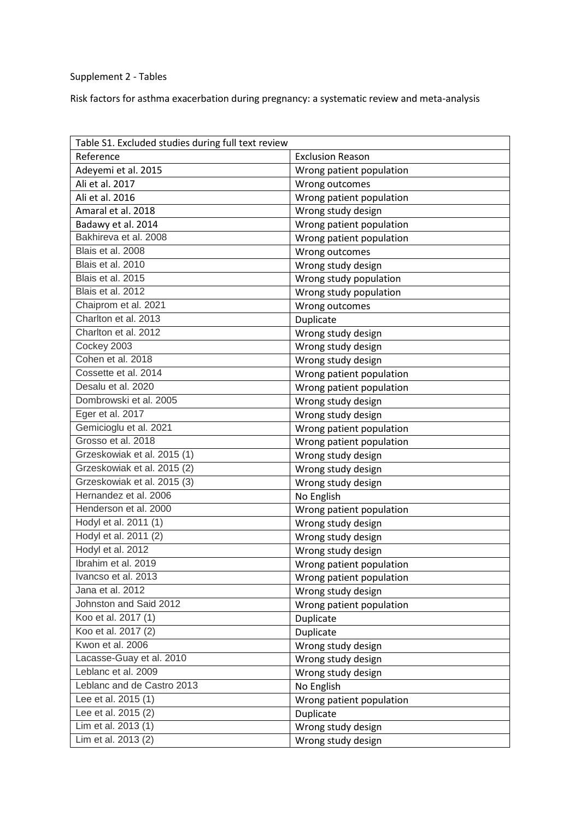## Supplement 2 - Tables

Risk factors for asthma exacerbation during pregnancy: a systematic review and meta-analysis

| Table S1. Excluded studies during full text review |                          |
|----------------------------------------------------|--------------------------|
| Reference                                          | <b>Exclusion Reason</b>  |
| Adeyemi et al. 2015                                | Wrong patient population |
| Ali et al. 2017                                    | Wrong outcomes           |
| Ali et al. 2016                                    | Wrong patient population |
| Amaral et al. 2018                                 | Wrong study design       |
| Badawy et al. 2014                                 | Wrong patient population |
| Bakhireva et al. 2008                              | Wrong patient population |
| Blais et al. 2008                                  | Wrong outcomes           |
| Blais et al. 2010                                  | Wrong study design       |
| Blais et al. 2015                                  | Wrong study population   |
| Blais et al. 2012                                  | Wrong study population   |
| Chaiprom et al. 2021                               | Wrong outcomes           |
| Charlton et al. 2013                               | Duplicate                |
| Charlton et al. 2012                               | Wrong study design       |
| Cockey 2003                                        | Wrong study design       |
| Cohen et al. 2018                                  | Wrong study design       |
| Cossette et al. 2014                               | Wrong patient population |
| Desalu et al. 2020                                 | Wrong patient population |
| Dombrowski et al. 2005                             | Wrong study design       |
| Eger et al. 2017                                   | Wrong study design       |
| Gemicioglu et al. 2021                             | Wrong patient population |
| Grosso et al. 2018                                 | Wrong patient population |
| Grzeskowiak et al. 2015 (1)                        | Wrong study design       |
| Grzeskowiak et al. 2015 (2)                        | Wrong study design       |
| Grzeskowiak et al. 2015 (3)                        | Wrong study design       |
| Hernandez et al. 2006                              | No English               |
| Henderson et al. 2000                              | Wrong patient population |
| Hodyl et al. 2011 (1)                              | Wrong study design       |
| Hodyl et al. 2011 (2)                              | Wrong study design       |
| Hodyl et al. 2012                                  | Wrong study design       |
| Ibrahim et al. 2019                                | Wrong patient population |
| Ivancso et al. 2013                                | Wrong patient population |
| Jana et al. 2012                                   | Wrong study design       |
| Johnston and Said 2012                             | Wrong patient population |
| Koo et al. 2017 (1)                                | Duplicate                |
| Koo et al. 2017 (2)                                | Duplicate                |
| Kwon et al. 2006                                   | Wrong study design       |
| Lacasse-Guay et al. 2010                           | Wrong study design       |
| Leblanc et al. 2009                                | Wrong study design       |
| Leblanc and de Castro 2013                         | No English               |
| Lee et al. 2015 (1)                                | Wrong patient population |
| Lee et al. 2015 (2)                                | Duplicate                |
| Lim et al. 2013 (1)                                | Wrong study design       |
| Lim et al. 2013 (2)                                | Wrong study design       |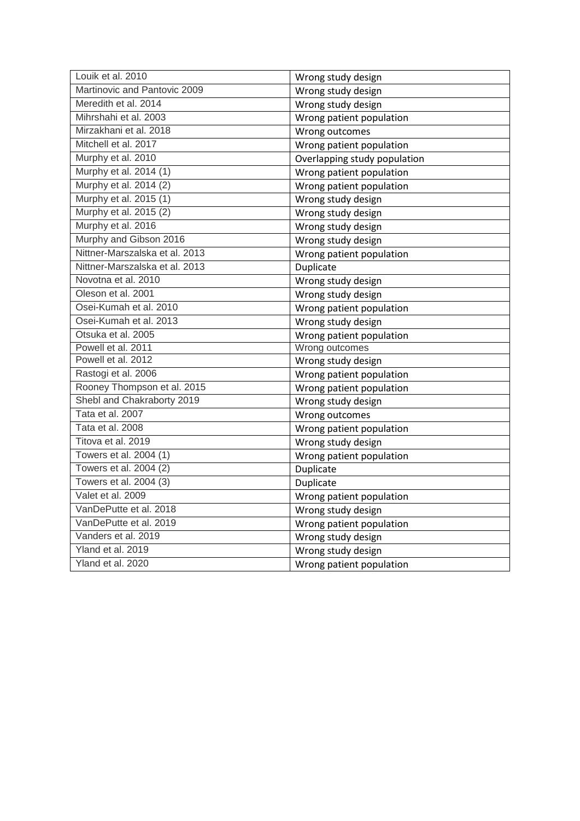| Louik et al. 2010              | Wrong study design           |
|--------------------------------|------------------------------|
| Martinovic and Pantovic 2009   | Wrong study design           |
| Meredith et al. 2014           | Wrong study design           |
| Mihrshahi et al. 2003          | Wrong patient population     |
| Mirzakhani et al. 2018         | Wrong outcomes               |
| Mitchell et al. 2017           | Wrong patient population     |
| Murphy et al. 2010             | Overlapping study population |
| Murphy et al. 2014 (1)         | Wrong patient population     |
| Murphy et al. 2014 (2)         | Wrong patient population     |
| Murphy et al. 2015 (1)         | Wrong study design           |
| Murphy et al. 2015 (2)         | Wrong study design           |
| Murphy et al. 2016             | Wrong study design           |
| Murphy and Gibson 2016         | Wrong study design           |
| Nittner-Marszalska et al. 2013 | Wrong patient population     |
| Nittner-Marszalska et al. 2013 | Duplicate                    |
| Novotna et al. 2010            | Wrong study design           |
| Oleson et al. 2001             | Wrong study design           |
| Osei-Kumah et al. 2010         | Wrong patient population     |
| Osei-Kumah et al. 2013         | Wrong study design           |
| Otsuka et al. 2005             | Wrong patient population     |
| Powell et al. 2011             | Wrong outcomes               |
| Powell et al. 2012             | Wrong study design           |
| Rastogi et al. 2006            | Wrong patient population     |
| Rooney Thompson et al. 2015    | Wrong patient population     |
| Shebl and Chakraborty 2019     | Wrong study design           |
| Tata et al. 2007               | Wrong outcomes               |
| Tata et al. 2008               | Wrong patient population     |
| Titova et al. 2019             | Wrong study design           |
| Towers et al. 2004 (1)         | Wrong patient population     |
| Towers et al. 2004 (2)         | Duplicate                    |
| Towers et al. 2004 (3)         | Duplicate                    |
| Valet et al. 2009              | Wrong patient population     |
| VanDePutte et al. 2018         | Wrong study design           |
| VanDePutte et al. 2019         | Wrong patient population     |
| Vanders et al. 2019            | Wrong study design           |
| Yland et al. 2019              | Wrong study design           |
| Yland et al. 2020              | Wrong patient population     |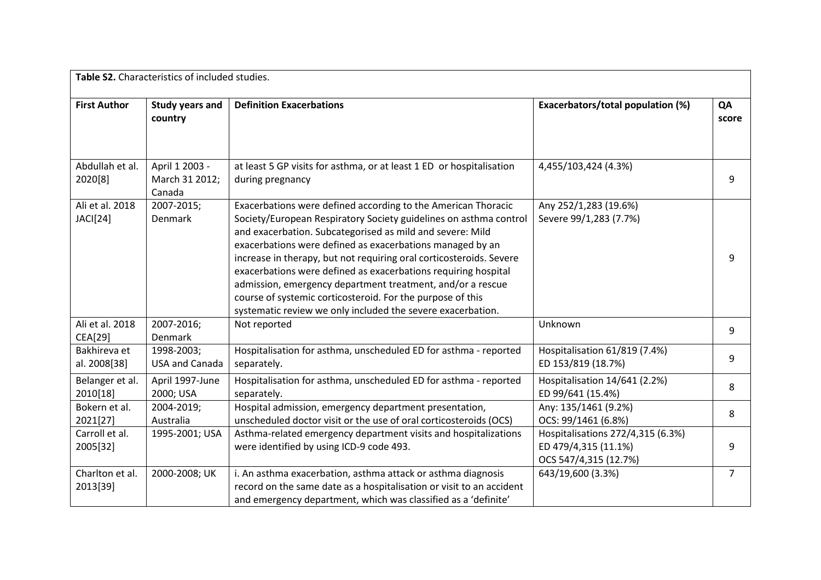|                              | Table S2. Characteristics of included studies. |                                                                                                                                                                                                                                                                                                                                                                                                                                                                                                                                                                                                  |                                                                                    |             |
|------------------------------|------------------------------------------------|--------------------------------------------------------------------------------------------------------------------------------------------------------------------------------------------------------------------------------------------------------------------------------------------------------------------------------------------------------------------------------------------------------------------------------------------------------------------------------------------------------------------------------------------------------------------------------------------------|------------------------------------------------------------------------------------|-------------|
| <b>First Author</b>          | Study years and<br>country                     | <b>Definition Exacerbations</b>                                                                                                                                                                                                                                                                                                                                                                                                                                                                                                                                                                  | Exacerbators/total population (%)                                                  | QA<br>score |
| Abdullah et al.<br>2020[8]   | April 1 2003 -<br>March 31 2012;<br>Canada     | at least 5 GP visits for asthma, or at least 1 ED or hospitalisation<br>during pregnancy                                                                                                                                                                                                                                                                                                                                                                                                                                                                                                         | 4,455/103,424 (4.3%)                                                               | q           |
| Ali et al. 2018<br>JACI[24]  | 2007-2015;<br>Denmark                          | Exacerbations were defined according to the American Thoracic<br>Society/European Respiratory Society guidelines on asthma control<br>and exacerbation. Subcategorised as mild and severe: Mild<br>exacerbations were defined as exacerbations managed by an<br>increase in therapy, but not requiring oral corticosteroids. Severe<br>exacerbations were defined as exacerbations requiring hospital<br>admission, emergency department treatment, and/or a rescue<br>course of systemic corticosteroid. For the purpose of this<br>systematic review we only included the severe exacerbation. | Any 252/1,283 (19.6%)<br>Severe 99/1,283 (7.7%)                                    | q           |
| Ali et al. 2018<br>CEA[29]   | 2007-2016;<br>Denmark                          | Not reported                                                                                                                                                                                                                                                                                                                                                                                                                                                                                                                                                                                     | Unknown                                                                            | 9           |
| Bakhireva et<br>al. 2008[38] | 1998-2003;<br><b>USA and Canada</b>            | Hospitalisation for asthma, unscheduled ED for asthma - reported<br>separately.                                                                                                                                                                                                                                                                                                                                                                                                                                                                                                                  | Hospitalisation 61/819 (7.4%)<br>ED 153/819 (18.7%)                                | 9           |
| Belanger et al.<br>2010[18]  | April 1997-June<br>2000; USA                   | Hospitalisation for asthma, unscheduled ED for asthma - reported<br>separately.                                                                                                                                                                                                                                                                                                                                                                                                                                                                                                                  | Hospitalisation 14/641 (2.2%)<br>ED 99/641 (15.4%)                                 | 8           |
| Bokern et al.<br>2021[27]    | 2004-2019;<br>Australia                        | Hospital admission, emergency department presentation,<br>unscheduled doctor visit or the use of oral corticosteroids (OCS)                                                                                                                                                                                                                                                                                                                                                                                                                                                                      | Any: 135/1461 (9.2%)<br>OCS: 99/1461 (6.8%)                                        | 8           |
| Carroll et al.<br>2005[32]   | 1995-2001; USA                                 | Asthma-related emergency department visits and hospitalizations<br>were identified by using ICD-9 code 493.                                                                                                                                                                                                                                                                                                                                                                                                                                                                                      | Hospitalisations 272/4,315 (6.3%)<br>ED 479/4,315 (11.1%)<br>OCS 547/4,315 (12.7%) | 9           |
| Charlton et al.<br>2013[39]  | 2000-2008; UK                                  | i. An asthma exacerbation, asthma attack or asthma diagnosis<br>record on the same date as a hospitalisation or visit to an accident<br>and emergency department, which was classified as a 'definite'                                                                                                                                                                                                                                                                                                                                                                                           | 643/19,600 (3.3%)                                                                  | 7           |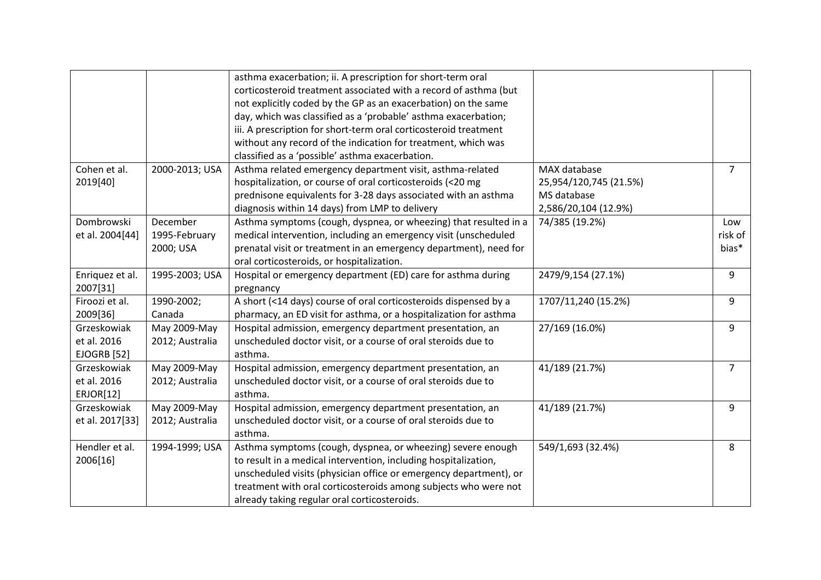|                    |                 | asthma exacerbation; ii. A prescription for short-term oral       |                        |                |
|--------------------|-----------------|-------------------------------------------------------------------|------------------------|----------------|
|                    |                 | corticosteroid treatment associated with a record of asthma (but  |                        |                |
|                    |                 | not explicitly coded by the GP as an exacerbation) on the same    |                        |                |
|                    |                 | day, which was classified as a 'probable' asthma exacerbation;    |                        |                |
|                    |                 | iii. A prescription for short-term oral corticosteroid treatment  |                        |                |
|                    |                 | without any record of the indication for treatment, which was     |                        |                |
|                    |                 | classified as a 'possible' asthma exacerbation.                   |                        |                |
| Cohen et al.       | 2000-2013; USA  | Asthma related emergency department visit, asthma-related         | MAX database           | $\overline{7}$ |
| 2019[40]           |                 | hospitalization, or course of oral corticosteroids (<20 mg        | 25,954/120,745 (21.5%) |                |
|                    |                 | prednisone equivalents for 3-28 days associated with an asthma    | MS database            |                |
|                    |                 | diagnosis within 14 days) from LMP to delivery                    | 2,586/20,104 (12.9%)   |                |
| Dombrowski         | December        | Asthma symptoms (cough, dyspnea, or wheezing) that resulted in a  | 74/385 (19.2%)         | Low            |
| et al. 2004[44]    | 1995-February   | medical intervention, including an emergency visit (unscheduled   |                        | risk of        |
|                    | 2000; USA       | prenatal visit or treatment in an emergency department), need for |                        | bias*          |
|                    |                 | oral corticosteroids, or hospitalization.                         |                        |                |
| Enriquez et al.    | 1995-2003; USA  | Hospital or emergency department (ED) care for asthma during      | 2479/9,154 (27.1%)     | 9              |
| 2007[31]           |                 | pregnancy                                                         |                        |                |
| Firoozi et al.     | 1990-2002;      | A short (<14 days) course of oral corticosteroids dispensed by a  | 1707/11,240 (15.2%)    | 9              |
| 2009[36]           | Canada          | pharmacy, an ED visit for asthma, or a hospitalization for asthma |                        |                |
| Grzeskowiak        | May 2009-May    | Hospital admission, emergency department presentation, an         | 27/169 (16.0%)         | 9              |
| et al. 2016        | 2012; Australia | unscheduled doctor visit, or a course of oral steroids due to     |                        |                |
| <b>EJOGRB [52]</b> |                 | asthma.                                                           |                        |                |
| Grzeskowiak        | May 2009-May    | Hospital admission, emergency department presentation, an         | 41/189 (21.7%)         | $\overline{7}$ |
| et al. 2016        | 2012; Australia | unscheduled doctor visit, or a course of oral steroids due to     |                        |                |
| ERJOR[12]          |                 | asthma.                                                           |                        |                |
| Grzeskowiak        | May 2009-May    | Hospital admission, emergency department presentation, an         | 41/189 (21.7%)         | 9              |
| et al. 2017[33]    | 2012; Australia | unscheduled doctor visit, or a course of oral steroids due to     |                        |                |
|                    |                 | asthma.                                                           |                        |                |
| Hendler et al.     | 1994-1999; USA  | Asthma symptoms (cough, dyspnea, or wheezing) severe enough       | 549/1,693 (32.4%)      | 8              |
| 2006[16]           |                 | to result in a medical intervention, including hospitalization,   |                        |                |
|                    |                 | unscheduled visits (physician office or emergency department), or |                        |                |
|                    |                 | treatment with oral corticosteroids among subjects who were not   |                        |                |
|                    |                 | already taking regular oral corticosteroids.                      |                        |                |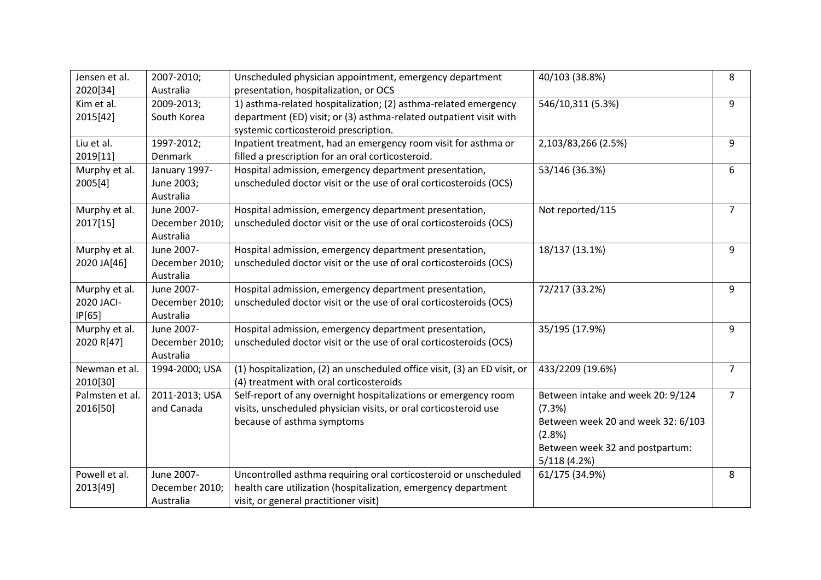| Jensen et al.   | 2007-2010;     | Unscheduled physician appointment, emergency department                   | 40/103 (38.8%)                     | 8              |
|-----------------|----------------|---------------------------------------------------------------------------|------------------------------------|----------------|
| 2020[34]        | Australia      | presentation, hospitalization, or OCS                                     |                                    |                |
| Kim et al.      | 2009-2013;     | 1) asthma-related hospitalization; (2) asthma-related emergency           | 546/10,311 (5.3%)                  | 9              |
| 2015[42]        | South Korea    | department (ED) visit; or (3) asthma-related outpatient visit with        |                                    |                |
|                 |                | systemic corticosteroid prescription.                                     |                                    |                |
| Liu et al.      | 1997-2012;     | Inpatient treatment, had an emergency room visit for asthma or            | 2,103/83,266 (2.5%)                | 9              |
| 2019[11]        | <b>Denmark</b> | filled a prescription for an oral corticosteroid.                         |                                    |                |
| Murphy et al.   | January 1997-  | Hospital admission, emergency department presentation,                    | 53/146 (36.3%)                     | 6              |
| 2005[4]         | June 2003;     | unscheduled doctor visit or the use of oral corticosteroids (OCS)         |                                    |                |
|                 | Australia      |                                                                           |                                    |                |
| Murphy et al.   | June 2007-     | Hospital admission, emergency department presentation,                    | Not reported/115                   | 7              |
| 2017[15]        | December 2010; | unscheduled doctor visit or the use of oral corticosteroids (OCS)         |                                    |                |
|                 | Australia      |                                                                           |                                    |                |
| Murphy et al.   | June 2007-     | Hospital admission, emergency department presentation,                    | 18/137 (13.1%)                     | 9              |
| 2020 JA[46]     | December 2010; | unscheduled doctor visit or the use of oral corticosteroids (OCS)         |                                    |                |
|                 | Australia      |                                                                           |                                    |                |
| Murphy et al.   | June 2007-     | Hospital admission, emergency department presentation,                    | 72/217 (33.2%)                     | 9              |
| 2020 JACI-      | December 2010; | unscheduled doctor visit or the use of oral corticosteroids (OCS)         |                                    |                |
| IP[65]          | Australia      |                                                                           |                                    |                |
| Murphy et al.   | June 2007-     | Hospital admission, emergency department presentation,                    | 35/195 (17.9%)                     | 9              |
| 2020 R[47]      | December 2010; | unscheduled doctor visit or the use of oral corticosteroids (OCS)         |                                    |                |
|                 | Australia      |                                                                           |                                    |                |
| Newman et al.   | 1994-2000; USA | (1) hospitalization, (2) an unscheduled office visit, (3) an ED visit, or | 433/2209 (19.6%)                   | 7              |
| 2010[30]        |                | (4) treatment with oral corticosteroids                                   |                                    |                |
| Palmsten et al. | 2011-2013; USA | Self-report of any overnight hospitalizations or emergency room           | Between intake and week 20: 9/124  | $\overline{7}$ |
| 2016[50]        | and Canada     | visits, unscheduled physician visits, or oral corticosteroid use          | (7.3%)                             |                |
|                 |                | because of asthma symptoms                                                | Between week 20 and week 32: 6/103 |                |
|                 |                |                                                                           | (2.8%)                             |                |
|                 |                |                                                                           | Between week 32 and postpartum:    |                |
|                 |                |                                                                           | 5/118(4.2%)                        |                |
| Powell et al.   | June 2007-     | Uncontrolled asthma requiring oral corticosteroid or unscheduled          | 61/175 (34.9%)                     | 8              |
| 2013[49]        | December 2010; | health care utilization (hospitalization, emergency department            |                                    |                |
|                 | Australia      | visit, or general practitioner visit)                                     |                                    |                |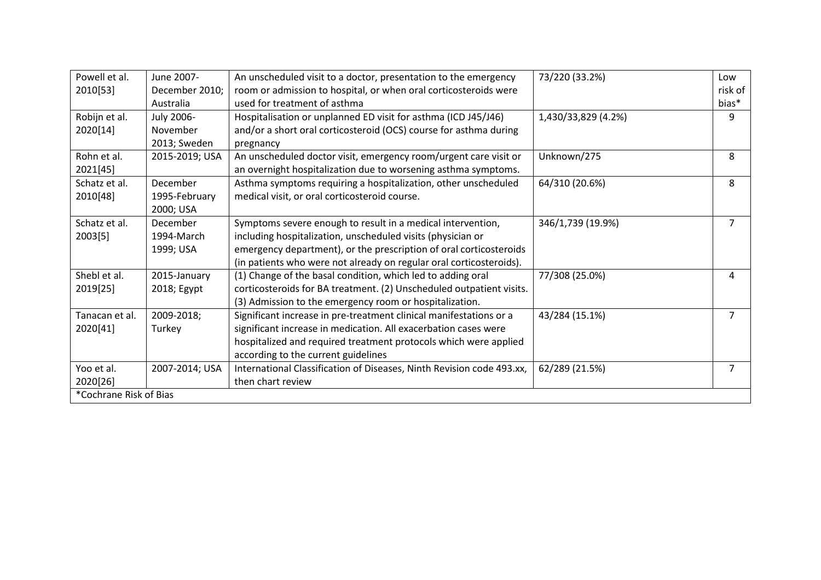| Powell et al.          | June 2007-     | An unscheduled visit to a doctor, presentation to the emergency       | 73/220 (33.2%)      | Low     |
|------------------------|----------------|-----------------------------------------------------------------------|---------------------|---------|
| 2010[53]               | December 2010; | room or admission to hospital, or when oral corticosteroids were      |                     | risk of |
|                        | Australia      | used for treatment of asthma                                          |                     | bias*   |
| Robijn et al.          | July 2006-     | Hospitalisation or unplanned ED visit for asthma (ICD J45/J46)        | 1,430/33,829 (4.2%) | 9       |
| 2020[14]               | November       | and/or a short oral corticosteroid (OCS) course for asthma during     |                     |         |
|                        | 2013; Sweden   | pregnancy                                                             |                     |         |
| Rohn et al.            | 2015-2019; USA | An unscheduled doctor visit, emergency room/urgent care visit or      | Unknown/275         | 8       |
| 2021[45]               |                | an overnight hospitalization due to worsening asthma symptoms.        |                     |         |
| Schatz et al.          | December       | Asthma symptoms requiring a hospitalization, other unscheduled        | 64/310 (20.6%)      | 8       |
| 2010[48]               | 1995-February  | medical visit, or oral corticosteroid course.                         |                     |         |
|                        | 2000; USA      |                                                                       |                     |         |
| Schatz et al.          | December       | Symptoms severe enough to result in a medical intervention,           | 346/1,739 (19.9%)   | 7       |
| 2003[5]                | 1994-March     | including hospitalization, unscheduled visits (physician or           |                     |         |
|                        | 1999; USA      | emergency department), or the prescription of oral corticosteroids    |                     |         |
|                        |                | (in patients who were not already on regular oral corticosteroids).   |                     |         |
| Shebl et al.           | 2015-January   | (1) Change of the basal condition, which led to adding oral           | 77/308 (25.0%)      | 4       |
| 2019[25]               | 2018; Egypt    | corticosteroids for BA treatment. (2) Unscheduled outpatient visits.  |                     |         |
|                        |                | (3) Admission to the emergency room or hospitalization.               |                     |         |
| Tanacan et al.         | 2009-2018;     | Significant increase in pre-treatment clinical manifestations or a    | 43/284 (15.1%)      | 7       |
| 2020[41]               | Turkey         | significant increase in medication. All exacerbation cases were       |                     |         |
|                        |                | hospitalized and required treatment protocols which were applied      |                     |         |
|                        |                | according to the current guidelines                                   |                     |         |
| Yoo et al.             | 2007-2014; USA | International Classification of Diseases, Ninth Revision code 493.xx, | 62/289 (21.5%)      | 7       |
| 2020[26]               |                | then chart review                                                     |                     |         |
| *Cochrane Risk of Bias |                |                                                                       |                     |         |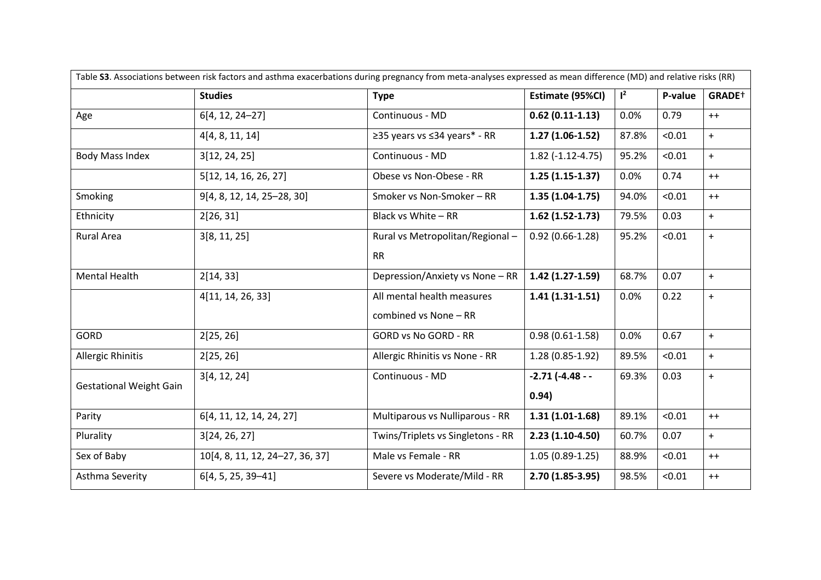|                                |                                 | Table S3. Associations between risk factors and asthma exacerbations during pregnancy from meta-analyses expressed as mean difference (MD) and relative risks (RR) |                         |       |         |                    |
|--------------------------------|---------------------------------|--------------------------------------------------------------------------------------------------------------------------------------------------------------------|-------------------------|-------|---------|--------------------|
|                                | <b>Studies</b>                  | <b>Type</b>                                                                                                                                                        | Estimate (95%CI)        | $1^2$ | P-value | GRADE <sup>+</sup> |
| Age                            | 6[4, 12, 24-27]                 | Continuous - MD                                                                                                                                                    | $0.62(0.11-1.13)$       | 0.0%  | 0.79    | $++$               |
|                                | 4[4, 8, 11, 14]                 | ≥35 years vs ≤34 years* - RR                                                                                                                                       | $1.27(1.06-1.52)$       | 87.8% | < 0.01  | $+$                |
| <b>Body Mass Index</b>         | 3[12, 24, 25]                   | Continuous - MD                                                                                                                                                    | $1.82$ (-1.12-4.75)     | 95.2% | < 0.01  | $+$                |
|                                | 5[12, 14, 16, 26, 27]           | Obese vs Non-Obese - RR                                                                                                                                            | $1.25(1.15-1.37)$       | 0.0%  | 0.74    | $++$               |
| Smoking                        | 9[4, 8, 12, 14, 25-28, 30]      | Smoker vs Non-Smoker - RR                                                                                                                                          | $1.35(1.04-1.75)$       | 94.0% | < 0.01  | $++$               |
| Ethnicity                      | 2[26, 31]                       | Black vs White - RR                                                                                                                                                | $1.62$ (1.52-1.73)      | 79.5% | 0.03    | $+$                |
| <b>Rural Area</b>              | 3[8, 11, 25]                    | Rural vs Metropolitan/Regional-                                                                                                                                    | $0.92(0.66 - 1.28)$     | 95.2% | < 0.01  | $+$                |
|                                |                                 | <b>RR</b>                                                                                                                                                          |                         |       |         |                    |
| <b>Mental Health</b>           | 2[14, 33]                       | Depression/Anxiety vs None - RR                                                                                                                                    | $1.42(1.27-1.59)$       | 68.7% | 0.07    | $+$                |
|                                | 4[11, 14, 26, 33]               | All mental health measures                                                                                                                                         | $1.41(1.31-1.51)$       | 0.0%  | 0.22    | $\ddot{}$          |
|                                |                                 | combined vs None - RR                                                                                                                                              |                         |       |         |                    |
| <b>GORD</b>                    | 2[25, 26]                       | <b>GORD vs No GORD - RR</b>                                                                                                                                        | $0.98(0.61 - 1.58)$     | 0.0%  | 0.67    | $\ddot{}$          |
| <b>Allergic Rhinitis</b>       | 2[25, 26]                       | Allergic Rhinitis vs None - RR                                                                                                                                     | $1.28(0.85 - 1.92)$     | 89.5% | < 0.01  | $+$                |
| <b>Gestational Weight Gain</b> | 3[4, 12, 24]                    | Continuous - MD                                                                                                                                                    | $-2.71$ ( $-4.48$ - $-$ | 69.3% | 0.03    | $+$                |
|                                |                                 |                                                                                                                                                                    | 0.94)                   |       |         |                    |
| Parity                         | 6[4, 11, 12, 14, 24, 27]        | Multiparous vs Nulliparous - RR                                                                                                                                    | $1.31(1.01-1.68)$       | 89.1% | < 0.01  | $++$               |
| Plurality                      | 3[24, 26, 27]                   | Twins/Triplets vs Singletons - RR                                                                                                                                  | $2.23(1.10-4.50)$       | 60.7% | 0.07    | $+$                |
| Sex of Baby                    | 10[4, 8, 11, 12, 24-27, 36, 37] | Male vs Female - RR                                                                                                                                                | $1.05(0.89-1.25)$       | 88.9% | < 0.01  | $++$               |
| Asthma Severity                | $6[4, 5, 25, 39-41]$            | Severe vs Moderate/Mild - RR                                                                                                                                       | $2.70(1.85-3.95)$       | 98.5% | < 0.01  | $++$               |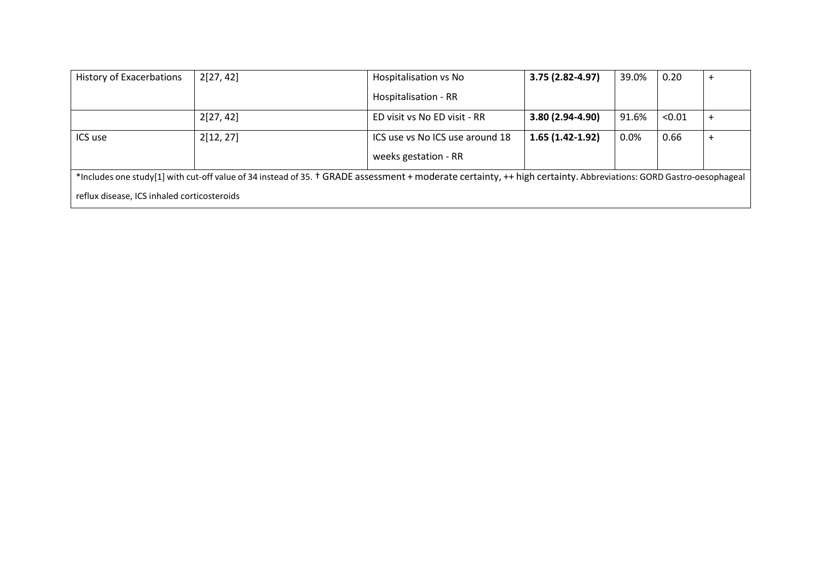| <b>History of Exacerbations</b>             | 2[27, 42]                                                                                                                                                         | Hospitalisation vs No           | 3.75 (2.82-4.97)  | 39.0%   | 0.20   | $\pm$ |
|---------------------------------------------|-------------------------------------------------------------------------------------------------------------------------------------------------------------------|---------------------------------|-------------------|---------|--------|-------|
|                                             |                                                                                                                                                                   | Hospitalisation - RR            |                   |         |        |       |
|                                             | 2[27, 42]                                                                                                                                                         | ED visit vs No ED visit - RR    | 3.80 (2.94-4.90)  | 91.6%   | < 0.01 |       |
| ICS use                                     | 2[12, 27]                                                                                                                                                         | ICS use vs No ICS use around 18 | $1.65(1.42-1.92)$ | $0.0\%$ | 0.66   |       |
|                                             |                                                                                                                                                                   | weeks gestation - RR            |                   |         |        |       |
|                                             | *Includes one study[1] with cut-off value of 34 instead of 35. † GRADE assessment + moderate certainty, ++ high certainty. Abbreviations: GORD Gastro-oesophageal |                                 |                   |         |        |       |
| reflux disease, ICS inhaled corticosteroids |                                                                                                                                                                   |                                 |                   |         |        |       |